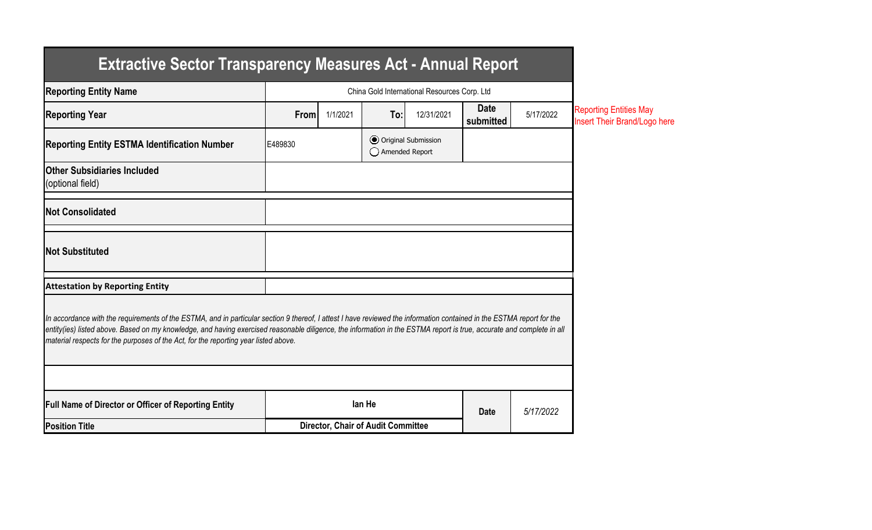| <b>Extractive Sector Transparency Measures Act - Annual Report</b>                                                                                                                                                                                                                                                                                                                                                                    |         |                                              |                                    |                              |                          |           |                                                               |
|---------------------------------------------------------------------------------------------------------------------------------------------------------------------------------------------------------------------------------------------------------------------------------------------------------------------------------------------------------------------------------------------------------------------------------------|---------|----------------------------------------------|------------------------------------|------------------------------|--------------------------|-----------|---------------------------------------------------------------|
| <b>Reporting Entity Name</b>                                                                                                                                                                                                                                                                                                                                                                                                          |         | China Gold International Resources Corp. Ltd |                                    |                              |                          |           |                                                               |
| <b>Reporting Year</b>                                                                                                                                                                                                                                                                                                                                                                                                                 | From    | 1/1/2021                                     | To:                                | 12/31/2021                   | <b>Date</b><br>submitted | 5/17/2022 | <b>Reporting Entities May</b><br>Insert Their Brand/Logo here |
| <b>Reporting Entity ESTMA Identification Number</b>                                                                                                                                                                                                                                                                                                                                                                                   | E489830 |                                              | ◯ Amended Report                   | <b>● Original Submission</b> |                          |           |                                                               |
| <b>Other Subsidiaries Included</b><br>(optional field)                                                                                                                                                                                                                                                                                                                                                                                |         |                                              |                                    |                              |                          |           |                                                               |
| <b>Not Consolidated</b>                                                                                                                                                                                                                                                                                                                                                                                                               |         |                                              |                                    |                              |                          |           |                                                               |
| <b>Not Substituted</b>                                                                                                                                                                                                                                                                                                                                                                                                                |         |                                              |                                    |                              |                          |           |                                                               |
| <b>Attestation by Reporting Entity</b>                                                                                                                                                                                                                                                                                                                                                                                                |         |                                              |                                    |                              |                          |           |                                                               |
| In accordance with the requirements of the ESTMA, and in particular section 9 thereof, I attest I have reviewed the information contained in the ESTMA report for the<br>entity(ies) listed above. Based on my knowledge, and having exercised reasonable diligence, the information in the ESTMA report is true, accurate and complete in all<br>material respects for the purposes of the Act, for the reporting year listed above. |         |                                              |                                    |                              |                          |           |                                                               |
| <b>Full Name of Director or Officer of Reporting Entity</b>                                                                                                                                                                                                                                                                                                                                                                           |         |                                              | lan He                             |                              |                          |           |                                                               |
| <b>Position Title</b>                                                                                                                                                                                                                                                                                                                                                                                                                 |         |                                              | Director, Chair of Audit Committee |                              | <b>Date</b>              | 5/17/2022 |                                                               |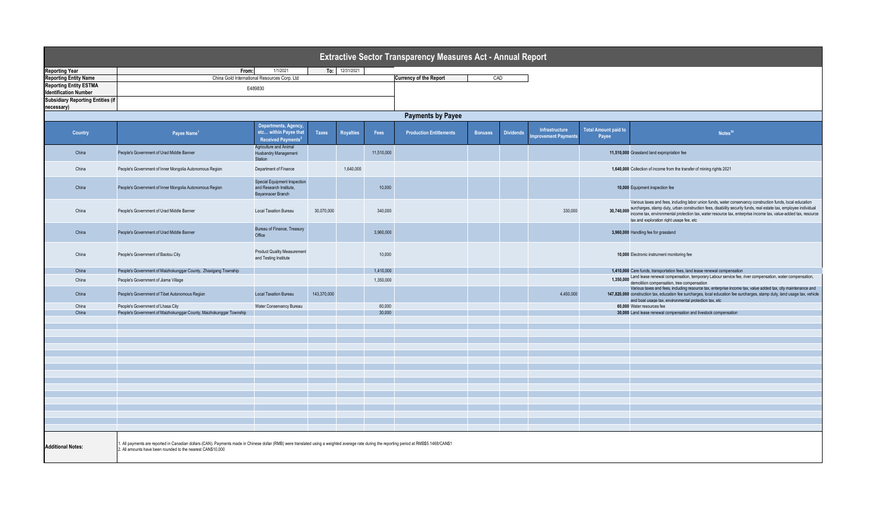| <b>Extractive Sector Transparency Measures Act - Annual Report</b> |                                                                                                                                                                                                                                                              |                                                                                                           |             |                  |            |                                |                |                  |                                       |                                      |                                                                                                                                                                                                                                                                                                                                                                                                         |  |
|--------------------------------------------------------------------|--------------------------------------------------------------------------------------------------------------------------------------------------------------------------------------------------------------------------------------------------------------|-----------------------------------------------------------------------------------------------------------|-------------|------------------|------------|--------------------------------|----------------|------------------|---------------------------------------|--------------------------------------|---------------------------------------------------------------------------------------------------------------------------------------------------------------------------------------------------------------------------------------------------------------------------------------------------------------------------------------------------------------------------------------------------------|--|
| <b>Reporting Year</b>                                              | From:                                                                                                                                                                                                                                                        | 1/1/2021                                                                                                  |             | To: 12/31/2021   |            |                                |                |                  |                                       |                                      |                                                                                                                                                                                                                                                                                                                                                                                                         |  |
| <b>Reporting Entity Name</b>                                       |                                                                                                                                                                                                                                                              | China Gold International Resources Corp. Ltd                                                              |             |                  |            | <b>Currency of the Report</b>  | CAD            |                  |                                       |                                      |                                                                                                                                                                                                                                                                                                                                                                                                         |  |
| <b>Reporting Entity ESTMA</b><br><b>Identification Number</b>      | E489830                                                                                                                                                                                                                                                      |                                                                                                           |             |                  |            |                                |                |                  |                                       |                                      |                                                                                                                                                                                                                                                                                                                                                                                                         |  |
| <b>Subsidiary Reporting Entities (if</b><br>necessary)             |                                                                                                                                                                                                                                                              |                                                                                                           |             |                  |            |                                |                |                  |                                       |                                      |                                                                                                                                                                                                                                                                                                                                                                                                         |  |
| <b>Payments by Payee</b>                                           |                                                                                                                                                                                                                                                              |                                                                                                           |             |                  |            |                                |                |                  |                                       |                                      |                                                                                                                                                                                                                                                                                                                                                                                                         |  |
|                                                                    |                                                                                                                                                                                                                                                              |                                                                                                           |             |                  |            |                                |                |                  |                                       |                                      |                                                                                                                                                                                                                                                                                                                                                                                                         |  |
| <b>Country</b>                                                     | Payee Name <sup>1</sup>                                                                                                                                                                                                                                      | Departments, Agency,<br>etc within Payee that<br>Received Payments <sup>2</sup><br>Agriculture and Animal | Taxes       | <b>Royalties</b> | Fees       | <b>Production Entitlements</b> | <b>Bonuses</b> | <b>Dividends</b> | Infrastructure<br>mprovement Payments | <b>Total Amount paid to</b><br>Payee | Notes <sup>34</sup>                                                                                                                                                                                                                                                                                                                                                                                     |  |
| China                                                              | People's Government of Urad Middle Banner                                                                                                                                                                                                                    | <b>Husbandry Management</b><br>Station                                                                    |             |                  | 11,510,000 |                                |                |                  |                                       |                                      | 11,510,000 Grassland land expropriation fee                                                                                                                                                                                                                                                                                                                                                             |  |
| China                                                              | People's Government of Inner Mongolia Autonomous Region                                                                                                                                                                                                      | Department of Finance                                                                                     |             | 1,640,000        |            |                                |                |                  |                                       |                                      | 1,640,000 Collection of income from the transfer of mining rights 2021                                                                                                                                                                                                                                                                                                                                  |  |
| China                                                              | People's Government of Inner Mongolia Autonomous Region                                                                                                                                                                                                      | Special Equipment Inspection<br>and Research Institute.<br>Bavannaoer Branch                              |             |                  | 10,000     |                                |                |                  |                                       |                                      | 10,000 Equipment inspection fee                                                                                                                                                                                                                                                                                                                                                                         |  |
| China                                                              | People's Government of Urad Middle Banner                                                                                                                                                                                                                    | <b>Local Taxation Bureau</b>                                                                              | 30.070.000  |                  | 340,000    |                                |                |                  | 330,000                               |                                      | Various taxes and fees, including labor union funds, water conservancy construction funds, local education<br>30,740,000 surcharges, stamp duty, urban construction fees, disability security funds, real estate tax, employee individual<br>income tax, environmental protection tax, water resource tax, enterprise income tax, value-added tax, resource<br>tax and exploration right usage fee, etc |  |
| China                                                              | People's Government of Urad Middle Banner                                                                                                                                                                                                                    | Bureau of Finance, Treasury<br>Office                                                                     |             |                  | 3,960,000  |                                |                |                  |                                       |                                      | 3,960,000 Handling fee for grassland                                                                                                                                                                                                                                                                                                                                                                    |  |
| China                                                              | People's Government of Baotou City                                                                                                                                                                                                                           | <b>Product Quality Measurement</b><br>and Testing Institute                                               |             |                  | 10,000     |                                |                |                  |                                       |                                      | 10,000 Electronic instrument monitoring fee                                                                                                                                                                                                                                                                                                                                                             |  |
| China                                                              | People's Government of Maizhokunggar County, Zhaxigang Township                                                                                                                                                                                              |                                                                                                           |             |                  | 1,410,000  |                                |                |                  |                                       |                                      | 1,410,000 Care funds, transportation fees, land lease renewal compensation                                                                                                                                                                                                                                                                                                                              |  |
| China                                                              | People's Government of Jiama Village                                                                                                                                                                                                                         |                                                                                                           |             |                  | 1,350,000  |                                |                |                  |                                       |                                      | 1,350,000 Land lease renewal compensation, temporary Labour service fee, river compensation, water compensation,<br>demolition compensation, tree compensation                                                                                                                                                                                                                                          |  |
| China                                                              | People's Government of Tibet Autonomous Region                                                                                                                                                                                                               | <b>Local Taxation Bureau</b>                                                                              | 143,370,000 |                  |            |                                |                |                  | 4,450,000                             |                                      | Various taxes and fees, including resource tax, enterprise income tax, value added tax, city maintenance and<br>147,820,000 construction tax, education fee surcharges, local education fee surcharges, stamp duty, land usage tax, vehicle<br>and boat usage tax, environmental protection tax, etc                                                                                                    |  |
| China                                                              | People's Government of Lhasa City                                                                                                                                                                                                                            | Water Conservancy Bureau                                                                                  |             |                  | 60,000     |                                |                |                  |                                       |                                      | 60,000 Water resources fee                                                                                                                                                                                                                                                                                                                                                                              |  |
| China                                                              | People's Government of Maizhokunggar County, Maizhokunggar Township                                                                                                                                                                                          |                                                                                                           |             |                  | 30,000     |                                |                |                  |                                       |                                      | 30,000 Land lease renewal compensation and livestock compensation                                                                                                                                                                                                                                                                                                                                       |  |
|                                                                    |                                                                                                                                                                                                                                                              |                                                                                                           |             |                  |            |                                |                |                  |                                       |                                      |                                                                                                                                                                                                                                                                                                                                                                                                         |  |
|                                                                    |                                                                                                                                                                                                                                                              |                                                                                                           |             |                  |            |                                |                |                  |                                       |                                      |                                                                                                                                                                                                                                                                                                                                                                                                         |  |
|                                                                    |                                                                                                                                                                                                                                                              |                                                                                                           |             |                  |            |                                |                |                  |                                       |                                      |                                                                                                                                                                                                                                                                                                                                                                                                         |  |
|                                                                    |                                                                                                                                                                                                                                                              |                                                                                                           |             |                  |            |                                |                |                  |                                       |                                      |                                                                                                                                                                                                                                                                                                                                                                                                         |  |
|                                                                    |                                                                                                                                                                                                                                                              |                                                                                                           |             |                  |            |                                |                |                  |                                       |                                      |                                                                                                                                                                                                                                                                                                                                                                                                         |  |
|                                                                    |                                                                                                                                                                                                                                                              |                                                                                                           |             |                  |            |                                |                |                  |                                       |                                      |                                                                                                                                                                                                                                                                                                                                                                                                         |  |
|                                                                    |                                                                                                                                                                                                                                                              |                                                                                                           |             |                  |            |                                |                |                  |                                       |                                      |                                                                                                                                                                                                                                                                                                                                                                                                         |  |
|                                                                    |                                                                                                                                                                                                                                                              |                                                                                                           |             |                  |            |                                |                |                  |                                       |                                      |                                                                                                                                                                                                                                                                                                                                                                                                         |  |
|                                                                    |                                                                                                                                                                                                                                                              |                                                                                                           |             |                  |            |                                |                |                  |                                       |                                      |                                                                                                                                                                                                                                                                                                                                                                                                         |  |
|                                                                    |                                                                                                                                                                                                                                                              |                                                                                                           |             |                  |            |                                |                |                  |                                       |                                      |                                                                                                                                                                                                                                                                                                                                                                                                         |  |
|                                                                    |                                                                                                                                                                                                                                                              |                                                                                                           |             |                  |            |                                |                |                  |                                       |                                      |                                                                                                                                                                                                                                                                                                                                                                                                         |  |
|                                                                    |                                                                                                                                                                                                                                                              |                                                                                                           |             |                  |            |                                |                |                  |                                       |                                      |                                                                                                                                                                                                                                                                                                                                                                                                         |  |
|                                                                    |                                                                                                                                                                                                                                                              |                                                                                                           |             |                  |            |                                |                |                  |                                       |                                      |                                                                                                                                                                                                                                                                                                                                                                                                         |  |
|                                                                    |                                                                                                                                                                                                                                                              |                                                                                                           |             |                  |            |                                |                |                  |                                       |                                      |                                                                                                                                                                                                                                                                                                                                                                                                         |  |
| <b>Additional Notes:</b>                                           | 1. All payments are reported in Canadian dollars (CAN). Payments made in Chinese dollar (RMB) were translated using a weighted average rate during the reporting period at RMB\$5.1468/CAN\$1<br>2. All amounts have been rounded to the nearest CAN\$10,000 |                                                                                                           |             |                  |            |                                |                |                  |                                       |                                      |                                                                                                                                                                                                                                                                                                                                                                                                         |  |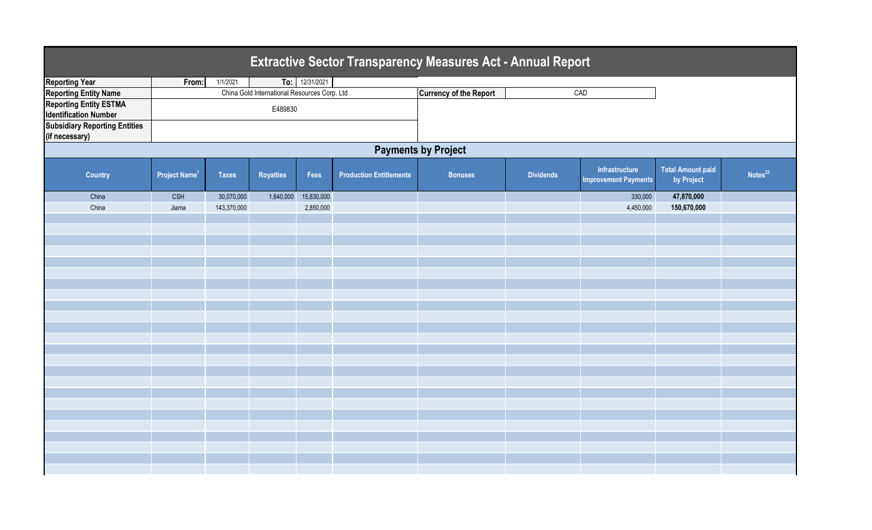| <b>Extractive Sector Transparency Measures Act - Annual Report</b> |                                 |              |                                              |                |                                |                               |                  |                                               |                                        |                     |  |  |
|--------------------------------------------------------------------|---------------------------------|--------------|----------------------------------------------|----------------|--------------------------------|-------------------------------|------------------|-----------------------------------------------|----------------------------------------|---------------------|--|--|
| <b>Reporting Year</b>                                              | From:                           | 1/1/2021     |                                              | To: 12/31/2021 |                                |                               |                  |                                               |                                        |                     |  |  |
| <b>Reporting Entity Name</b>                                       |                                 |              | China Gold International Resources Corp. Ltd |                |                                | <b>Currency of the Report</b> |                  | CAD                                           |                                        |                     |  |  |
| <b>Reporting Entity ESTMA</b><br><b>Identification Number</b>      | E489830                         |              |                                              |                |                                |                               |                  |                                               |                                        |                     |  |  |
| <b>Subsidiary Reporting Entities</b><br>(if necessary)             |                                 |              |                                              |                |                                |                               |                  |                                               |                                        |                     |  |  |
| <b>Payments by Project</b>                                         |                                 |              |                                              |                |                                |                               |                  |                                               |                                        |                     |  |  |
| <b>Country</b>                                                     | <b>Project Name<sup>1</sup></b> | <b>Taxes</b> | <b>Royalties</b>                             | Fees           | <b>Production Entitlements</b> | <b>Bonuses</b>                | <b>Dividends</b> | Infrastructure<br><b>Improvement Payments</b> | <b>Total Amount paid</b><br>by Project | Notes <sup>23</sup> |  |  |
| China                                                              | <b>CSH</b>                      | 30,070,000   | 1,640,000                                    | 15,830,000     |                                |                               |                  | 330,000                                       | 47,870,000                             |                     |  |  |
| China                                                              | Jiama                           | 143,370,000  |                                              | 2,850,000      |                                |                               |                  | 4,450,000                                     | 150,670,000                            |                     |  |  |
|                                                                    |                                 |              |                                              |                |                                |                               |                  |                                               |                                        |                     |  |  |
|                                                                    |                                 |              |                                              |                |                                |                               |                  |                                               |                                        |                     |  |  |
|                                                                    |                                 |              |                                              |                |                                |                               |                  |                                               |                                        |                     |  |  |
|                                                                    |                                 |              |                                              |                |                                |                               |                  |                                               |                                        |                     |  |  |
|                                                                    |                                 |              |                                              |                |                                |                               |                  |                                               |                                        |                     |  |  |
|                                                                    |                                 |              |                                              |                |                                |                               |                  |                                               |                                        |                     |  |  |
|                                                                    |                                 |              |                                              |                |                                |                               |                  |                                               |                                        |                     |  |  |
|                                                                    |                                 |              |                                              |                |                                |                               |                  |                                               |                                        |                     |  |  |
|                                                                    |                                 |              |                                              |                |                                |                               |                  |                                               |                                        |                     |  |  |
|                                                                    |                                 |              |                                              |                |                                |                               |                  |                                               |                                        |                     |  |  |
|                                                                    |                                 |              |                                              |                |                                |                               |                  |                                               |                                        |                     |  |  |
|                                                                    |                                 |              |                                              |                |                                |                               |                  |                                               |                                        |                     |  |  |
|                                                                    |                                 |              |                                              |                |                                |                               |                  |                                               |                                        |                     |  |  |
|                                                                    |                                 |              |                                              |                |                                |                               |                  |                                               |                                        |                     |  |  |
|                                                                    |                                 |              |                                              |                |                                |                               |                  |                                               |                                        |                     |  |  |
|                                                                    |                                 |              |                                              |                |                                |                               |                  |                                               |                                        |                     |  |  |
|                                                                    |                                 |              |                                              |                |                                |                               |                  |                                               |                                        |                     |  |  |
|                                                                    |                                 |              |                                              |                |                                |                               |                  |                                               |                                        |                     |  |  |
|                                                                    |                                 |              |                                              |                |                                |                               |                  |                                               |                                        |                     |  |  |
|                                                                    |                                 |              |                                              |                |                                |                               |                  |                                               |                                        |                     |  |  |
|                                                                    |                                 |              |                                              |                |                                |                               |                  |                                               |                                        |                     |  |  |
|                                                                    |                                 |              |                                              |                |                                |                               |                  |                                               |                                        |                     |  |  |